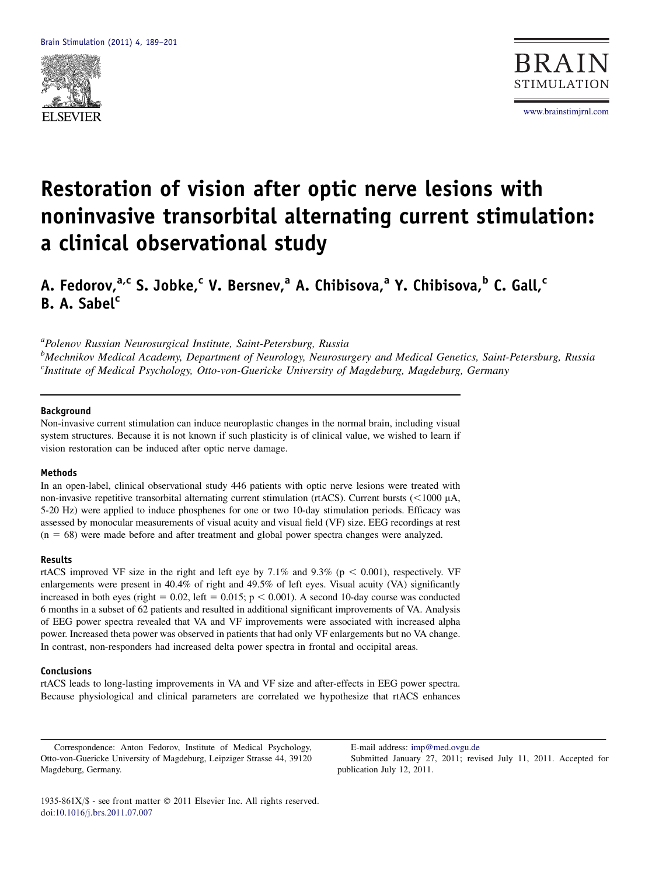



# Restoration of vision after optic nerve lesions with noninvasive transorbital alternating current stimulation: a clinical observational study

A. Fedorov, $a, c$  S. Jobke, $c$  V. Bersnev, $a$  A. Chibisova, $a$  Y. Chibisova, $b$  C. Gall, $c$ B. A. Sabel<sup>c</sup>

<sup>a</sup>Polenov Russian Neurosurgical Institute, Saint-Petersburg, Russia

<sup>b</sup>Mechnikov Medical Academy, Department of Neurology, Neurosurgery and Medical Genetics, Saint-Petersburg, Russia <sup>c</sup>Institute of Medical Psychology, Otto-von-Guericke University of Magdeburg, Magdeburg, Germany

## Background

Non-invasive current stimulation can induce neuroplastic changes in the normal brain, including visual system structures. Because it is not known if such plasticity is of clinical value, we wished to learn if vision restoration can be induced after optic nerve damage.

#### Methods

In an open-label, clinical observational study 446 patients with optic nerve lesions were treated with non-invasive repetitive transorbital alternating current stimulation (rtACS). Current bursts ( $\lt$ 1000  $\mu$ A, 5-20 Hz) were applied to induce phosphenes for one or two 10-day stimulation periods. Efficacy was assessed by monocular measurements of visual acuity and visual field (VF) size. EEG recordings at rest  $(n = 68)$  were made before and after treatment and global power spectra changes were analyzed.

#### Results

rtACS improved VF size in the right and left eye by 7.1% and 9.3% ( $p < 0.001$ ), respectively. VF enlargements were present in 40.4% of right and 49.5% of left eyes. Visual acuity (VA) significantly increased in both eyes (right =  $0.02$ , left =  $0.015$ ; p < 0.001). A second 10-day course was conducted 6 months in a subset of 62 patients and resulted in additional significant improvements of VA. Analysis of EEG power spectra revealed that VA and VF improvements were associated with increased alpha power. Increased theta power was observed in patients that had only VF enlargements but no VA change. In contrast, non-responders had increased delta power spectra in frontal and occipital areas.

#### Conclusions

rtACS leads to long-lasting improvements in VA and VF size and after-effects in EEG power spectra. Because physiological and clinical parameters are correlated we hypothesize that rtACS enhances

Correspondence: Anton Fedorov, Institute of Medical Psychology, Otto-von-Guericke University of Magdeburg, Leipziger Strasse 44, 39120 Magdeburg, Germany.

E-mail address: [imp@med.ovgu.de](mailto:imp@med.ovgu.de) Submitted January 27, 2011; revised July 11, 2011. Accepted for publication July 12, 2011.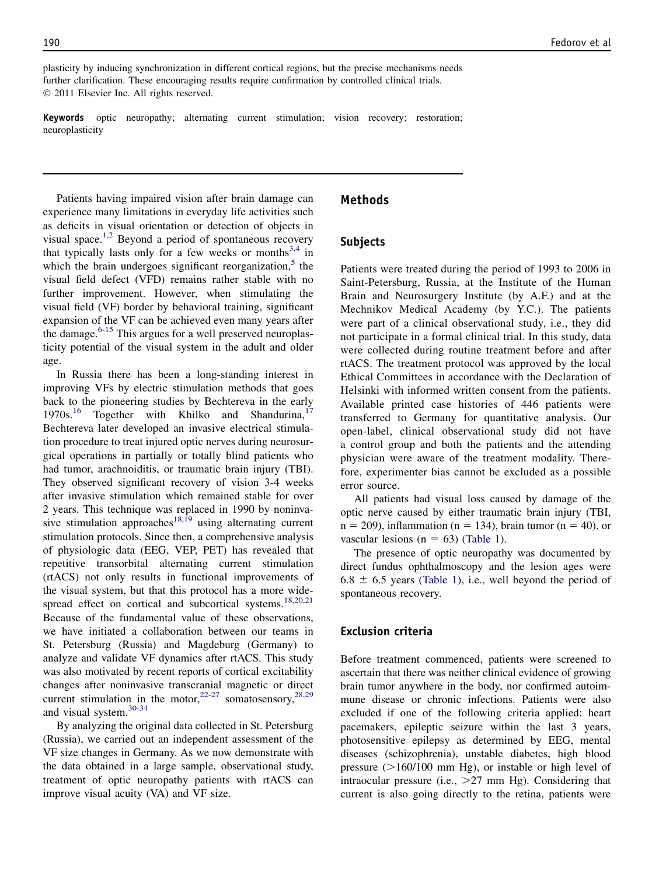plasticity by inducing synchronization in different cortical regions, but the precise mechanisms needs further clarification. These encouraging results require confirmation by controlled clinical trials. 2011 Elsevier Inc. All rights reserved.

Keywords optic neuropathy; alternating current stimulation; vision recovery; restoration; neuroplasticity

Patients having impaired vision after brain damage can experience many limitations in everyday life activities such as deficits in visual orientation or detection of objects in visual space.<sup>[1,2](#page-10-0)</sup> Beyond a period of spontaneous recovery that typically lasts only for a few weeks or months<sup>[3,4](#page-10-0)</sup> in which the brain undergoes significant reorganization, $5$  the visual field defect (VFD) remains rather stable with no further improvement. However, when stimulating the visual field (VF) border by behavioral training, significant expansion of the VF can be achieved even many years after the damage. $6-15$  This argues for a well preserved neuroplasticity potential of the visual system in the adult and older age.

In Russia there has been a long-standing interest in improving VFs by electric stimulation methods that goes back to the pioneering studies by Bechtereva in the early 1970s.<sup>16</sup> Together with Khilko and Shandurina,<sup>[17](#page-11-0)</sup> Bechtereva later developed an invasive electrical stimulation procedure to treat injured optic nerves during neurosurgical operations in partially or totally blind patients who had tumor, arachnoiditis, or traumatic brain injury (TBI). They observed significant recovery of vision 3-4 weeks after invasive stimulation which remained stable for over 2 years. This technique was replaced in 1990 by noninva-sive stimulation approaches<sup>[18,19](#page-11-0)</sup> using alternating current stimulation protocols. Since then, a comprehensive analysis of physiologic data (EEG, VEP, PET) has revealed that repetitive transorbital alternating current stimulation (rtACS) not only results in functional improvements of the visual system, but that this protocol has a more wide-spread effect on cortical and subcortical systems.<sup>[18,20,21](#page-11-0)</sup> Because of the fundamental value of these observations, we have initiated a collaboration between our teams in St. Petersburg (Russia) and Magdeburg (Germany) to analyze and validate VF dynamics after rtACS. This study was also motivated by recent reports of cortical excitability changes after noninvasive transcranial magnetic or direct current stimulation in the motor,  $22-27$  somatosensory,  $28.29$ and visual system.[30-34](#page-11-0)

By analyzing the original data collected in St. Petersburg (Russia), we carried out an independent assessment of the VF size changes in Germany. As we now demonstrate with the data obtained in a large sample, observational study, treatment of optic neuropathy patients with rtACS can improve visual acuity (VA) and VF size.

# Methods

# Subjects

Patients were treated during the period of 1993 to 2006 in Saint-Petersburg, Russia, at the Institute of the Human Brain and Neurosurgery Institute (by A.F.) and at the Mechnikov Medical Academy (by Y.C.). The patients were part of a clinical observational study, i.e., they did not participate in a formal clinical trial. In this study, data were collected during routine treatment before and after rtACS. The treatment protocol was approved by the local Ethical Committees in accordance with the Declaration of Helsinki with informed written consent from the patients. Available printed case histories of 446 patients were transferred to Germany for quantitative analysis. Our open-label, clinical observational study did not have a control group and both the patients and the attending physician were aware of the treatment modality. Therefore, experimenter bias cannot be excluded as a possible error source.

All patients had visual loss caused by damage of the optic nerve caused by either traumatic brain injury (TBI,  $n = 209$ ), inflammation (n = 134), brain tumor (n = 40), or vascular lesions ( $n = 63$ ) ([Table 1](#page-2-0)).

The presence of optic neuropathy was documented by direct fundus ophthalmoscopy and the lesion ages were  $6.8 \pm 6.5$  years ([Table 1](#page-2-0)), i.e., well beyond the period of spontaneous recovery.

# Exclusion criteria

Before treatment commenced, patients were screened to ascertain that there was neither clinical evidence of growing brain tumor anywhere in the body, nor confirmed autoimmune disease or chronic infections. Patients were also excluded if one of the following criteria applied: heart pacemakers, epileptic seizure within the last 3 years, photosensitive epilepsy as determined by EEG, mental diseases (schizophrenia), unstable diabetes, high blood pressure  $(>160/100$  mm Hg), or instable or high level of intraocular pressure (i.e.,  $>27$  mm Hg). Considering that current is also going directly to the retina, patients were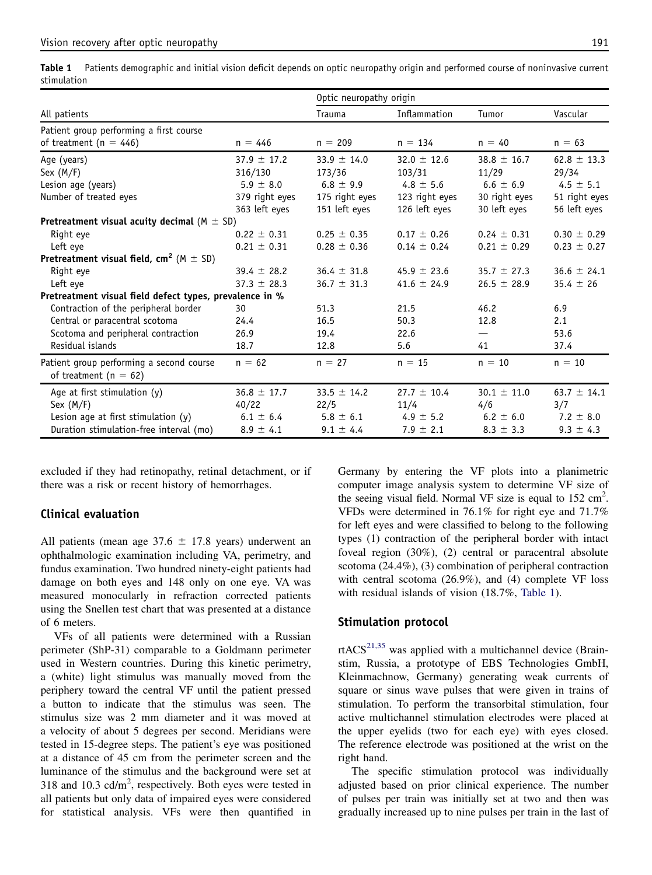<span id="page-2-0"></span>Table 1 Patients demographic and initial vision deficit depends on optic neuropathy origin and performed course of noninvasive current stimulation

|                                                         |                 | Optic neuropathy origin |                 |                 |                 |
|---------------------------------------------------------|-----------------|-------------------------|-----------------|-----------------|-----------------|
| All patients                                            |                 | Trauma                  | Inflammation    | Tumor           | Vascular        |
| Patient group performing a first course                 |                 |                         |                 |                 |                 |
| of treatment ( $n = 446$ )                              | $n = 446$       | $n = 209$               | $n = 134$       | $n = 40$        | $n = 63$        |
| Age (years)                                             | $37.9 \pm 17.2$ | 33.9 $\pm$ 14.0         | $32.0 \pm 12.6$ | $38.8 \pm 16.7$ | $62.8 \pm 13.3$ |
| Sex $(M/F)$                                             | 316/130         | 173/36                  | 103/31          | 11/29           | 29/34           |
| Lesion age (years)                                      | 5.9 $\pm$ 8.0   | $6.8 \pm 9.9$           | 4.8 $\pm$ 5.6   | $6.6 \pm 6.9$   | $4.5 \pm 5.1$   |
| Number of treated eyes                                  | 379 right eyes  | 175 right eyes          | 123 right eyes  | 30 right eyes   | 51 right eyes   |
|                                                         | 363 left eyes   | 151 left eyes           | 126 left eyes   | 30 left eyes    | 56 left eyes    |
| Pretreatment visual acuity decimal $(M \pm SD)$         |                 |                         |                 |                 |                 |
| Right eve                                               | $0.22 \pm 0.31$ | $0.25 \pm 0.35$         | $0.17 \pm 0.26$ | $0.24 \pm 0.31$ | $0.30 \pm 0.29$ |
| Left eye                                                | $0.21 \pm 0.31$ | $0.28 \pm 0.36$         | $0.14 \pm 0.24$ | $0.21 \pm 0.29$ | $0.23 \pm 0.27$ |
| Pretreatment visual field, $cm^2$ (M $\pm$ SD)          |                 |                         |                 |                 |                 |
| Right eye                                               | 39.4 $\pm$ 28.2 | $36.4 \pm 31.8$         | 45.9 $\pm$ 23.6 | $35.7 \pm 27.3$ | $36.6 \pm 24.1$ |
| Left eve                                                | $37.3 \pm 28.3$ | $36.7 \pm 31.3$         | 41.6 $\pm$ 24.9 | $26.5 \pm 28.9$ | $35.4 \pm 26$   |
| Pretreatment visual field defect types, prevalence in % |                 |                         |                 |                 |                 |
| Contraction of the peripheral border                    | 30              | 51.3                    | 21.5            | 46.2            | 6.9             |
| Central or paracentral scotoma                          | 24.4            | 16.5                    | 50.3            | 12.8            | 2.1             |
| Scotoma and peripheral contraction                      | 26.9            | 19.4                    | 22.6            |                 | 53.6            |
| Residual islands                                        | 18.7            | 12.8                    | 5.6             | 41              | 37.4            |
| Patient group performing a second course                | $n = 62$        | $n = 27$                | $n = 15$        | $n = 10$        | $n = 10$        |
| of treatment ( $n = 62$ )                               |                 |                         |                 |                 |                 |
| Age at first stimulation $(y)$                          | $36.8 \pm 17.7$ | $33.5 \pm 14.2$         | $27.7 \pm 10.4$ | $30.1 \pm 11.0$ | 63.7 $\pm$ 14.1 |
| Sex $(M/F)$                                             | 40/22           | 22/5                    | 11/4            | 4/6             | 3/7             |
| Lesion age at first stimulation (y)                     | $6.1 \pm 6.4$   | $5.8 \pm 6.1$           | 4.9 $\pm$ 5.2   | $6.2 \pm 6.0$   | 7.2 $\pm$ 8.0   |
| Duration stimulation-free interval (mo)                 | $8.9 \pm 4.1$   | $9.1 \pm 4.4$           | 7.9 $\pm$ 2.1   | $8.3 \pm 3.3$   | $9.3 \pm 4.3$   |

excluded if they had retinopathy, retinal detachment, or if there was a risk or recent history of hemorrhages.

# Clinical evaluation

All patients (mean age  $37.6 \pm 17.8$  years) underwent an ophthalmologic examination including VA, perimetry, and fundus examination. Two hundred ninety-eight patients had damage on both eyes and 148 only on one eye. VA was measured monocularly in refraction corrected patients using the Snellen test chart that was presented at a distance of 6 meters.

VFs of all patients were determined with a Russian perimeter (ShP-31) comparable to a Goldmann perimeter used in Western countries. During this kinetic perimetry, a (white) light stimulus was manually moved from the periphery toward the central VF until the patient pressed a button to indicate that the stimulus was seen. The stimulus size was 2 mm diameter and it was moved at a velocity of about 5 degrees per second. Meridians were tested in 15-degree steps. The patient's eye was positioned at a distance of 45 cm from the perimeter screen and the luminance of the stimulus and the background were set at 318 and 10.3 cd/m<sup>2</sup>, respectively. Both eyes were tested in all patients but only data of impaired eyes were considered for statistical analysis. VFs were then quantified in

Germany by entering the VF plots into a planimetric computer image analysis system to determine VF size of the seeing visual field. Normal VF size is equal to  $152 \text{ cm}^2$ . VFDs were determined in 76.1% for right eye and 71.7% for left eyes and were classified to belong to the following types (1) contraction of the peripheral border with intact foveal region (30%), (2) central or paracentral absolute scotoma (24.4%), (3) combination of peripheral contraction with central scotoma (26.9%), and (4) complete VF loss with residual islands of vision (18.7%, Table 1).

# Stimulation protocol

rtACS $^{21,35}$  $^{21,35}$  $^{21,35}$  was applied with a multichannel device (Brainstim, Russia, a prototype of EBS Technologies GmbH, Kleinmachnow, Germany) generating weak currents of square or sinus wave pulses that were given in trains of stimulation. To perform the transorbital stimulation, four active multichannel stimulation electrodes were placed at the upper eyelids (two for each eye) with eyes closed. The reference electrode was positioned at the wrist on the right hand.

The specific stimulation protocol was individually adjusted based on prior clinical experience. The number of pulses per train was initially set at two and then was gradually increased up to nine pulses per train in the last of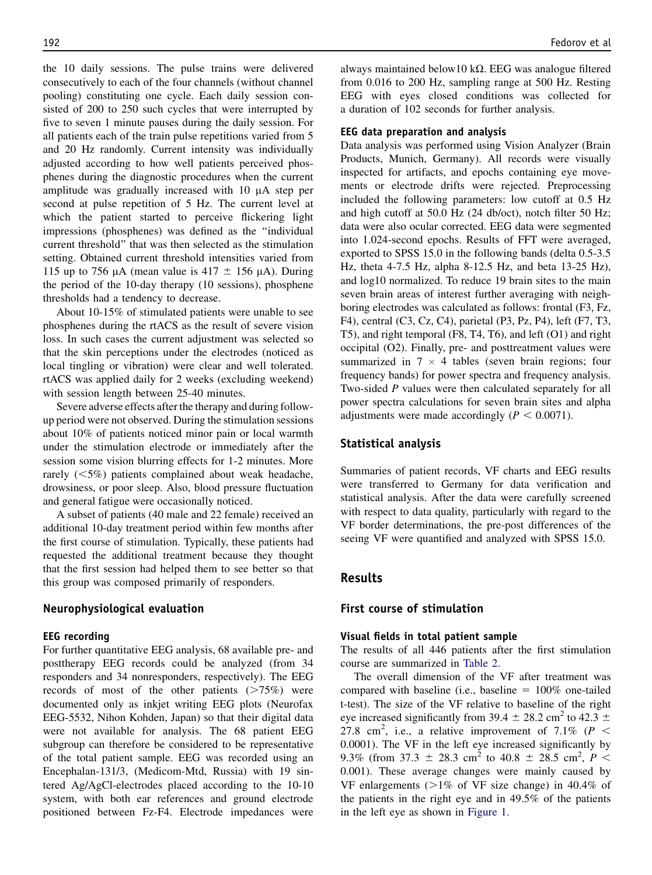the 10 daily sessions. The pulse trains were delivered consecutively to each of the four channels (without channel pooling) constituting one cycle. Each daily session consisted of 200 to 250 such cycles that were interrupted by five to seven 1 minute pauses during the daily session. For all patients each of the train pulse repetitions varied from 5 and 20 Hz randomly. Current intensity was individually adjusted according to how well patients perceived phosphenes during the diagnostic procedures when the current amplitude was gradually increased with  $10 \mu A$  step per second at pulse repetition of 5 Hz. The current level at which the patient started to perceive flickering light impressions (phosphenes) was defined as the ''individual current threshold'' that was then selected as the stimulation setting. Obtained current threshold intensities varied from 115 up to 756  $\mu$ A (mean value is 417  $\pm$  156  $\mu$ A). During the period of the 10-day therapy (10 sessions), phosphene thresholds had a tendency to decrease.

About 10-15% of stimulated patients were unable to see phosphenes during the rtACS as the result of severe vision loss. In such cases the current adjustment was selected so that the skin perceptions under the electrodes (noticed as local tingling or vibration) were clear and well tolerated. rtACS was applied daily for 2 weeks (excluding weekend) with session length between 25-40 minutes.

Severe adverse effects after the therapy and during followup period were not observed. During the stimulation sessions about 10% of patients noticed minor pain or local warmth under the stimulation electrode or immediately after the session some vision blurring effects for 1-2 minutes. More rarely  $(<5\%)$  patients complained about weak headache, drowsiness, or poor sleep. Also, blood pressure fluctuation and general fatigue were occasionally noticed.

A subset of patients (40 male and 22 female) received an additional 10-day treatment period within few months after the first course of stimulation. Typically, these patients had requested the additional treatment because they thought that the first session had helped them to see better so that this group was composed primarily of responders.

## Neurophysiological evaluation

#### EEG recording

For further quantitative EEG analysis, 68 available pre- and posttherapy EEG records could be analyzed (from 34 responders and 34 nonresponders, respectively). The EEG records of most of the other patients  $(>\!\!75\%)$  were documented only as inkjet writing EEG plots (Neurofax EEG-5532, Nihon Kohden, Japan) so that their digital data were not available for analysis. The 68 patient EEG subgroup can therefore be considered to be representative of the total patient sample. EEG was recorded using an Encephalan-131/3, (Medicom-Mtd, Russia) with 19 sintered Ag/AgCl-electrodes placed according to the 10-10 system, with both ear references and ground electrode positioned between Fz-F4. Electrode impedances were always maintained below10 k $\Omega$ . EEG was analogue filtered from 0.016 to 200 Hz, sampling range at 500 Hz. Resting EEG with eyes closed conditions was collected for a duration of 102 seconds for further analysis.

#### EEG data preparation and analysis

Data analysis was performed using Vision Analyzer (Brain Products, Munich, Germany). All records were visually inspected for artifacts, and epochs containing eye movements or electrode drifts were rejected. Preprocessing included the following parameters: low cutoff at 0.5 Hz and high cutoff at 50.0 Hz (24 db/oct), notch filter 50 Hz; data were also ocular corrected. EEG data were segmented into 1.024-second epochs. Results of FFT were averaged, exported to SPSS 15.0 in the following bands (delta 0.5-3.5 Hz, theta 4-7.5 Hz, alpha 8-12.5 Hz, and beta 13-25 Hz), and log10 normalized. To reduce 19 brain sites to the main seven brain areas of interest further averaging with neighboring electrodes was calculated as follows: frontal (F3, Fz, F4), central (C3, Cz, C4), parietal (P3, Pz, P4), left (F7, T3, T5), and right temporal (F8, T4, T6), and left (O1) and right occipital (O2). Finally, pre- and posttreatment values were summarized in  $7 \times 4$  tables (seven brain regions; four frequency bands) for power spectra and frequency analysis. Two-sided P values were then calculated separately for all power spectra calculations for seven brain sites and alpha adjustments were made accordingly ( $P < 0.0071$ ).

# Statistical analysis

Summaries of patient records, VF charts and EEG results were transferred to Germany for data verification and statistical analysis. After the data were carefully screened with respect to data quality, particularly with regard to the VF border determinations, the pre-post differences of the seeing VF were quantified and analyzed with SPSS 15.0.

# Results

# First course of stimulation

#### Visual fields in total patient sample

The results of all 446 patients after the first stimulation course are summarized in [Table 2.](#page-4-0)

The overall dimension of the VF after treatment was compared with baseline (i.e., baseline  $= 100\%$  one-tailed t-test). The size of the VF relative to baseline of the right eye increased significantly from 39.4  $\pm$  28.2 cm<sup>2</sup> to 42.3  $\pm$ 27.8 cm<sup>2</sup>, i.e., a relative improvement of 7.1% ( $P \leq$ 0.0001). The VF in the left eye increased significantly by 9.3% (from 37.3  $\pm$  28.3 cm<sup>2</sup> to 40.8  $\pm$  28.5 cm<sup>2</sup>, P < 0.001). These average changes were mainly caused by VF enlargements  $(>1\%$  of VF size change) in 40.4% of the patients in the right eye and in 49.5% of the patients in the left eye as shown in [Figure 1.](#page-4-0)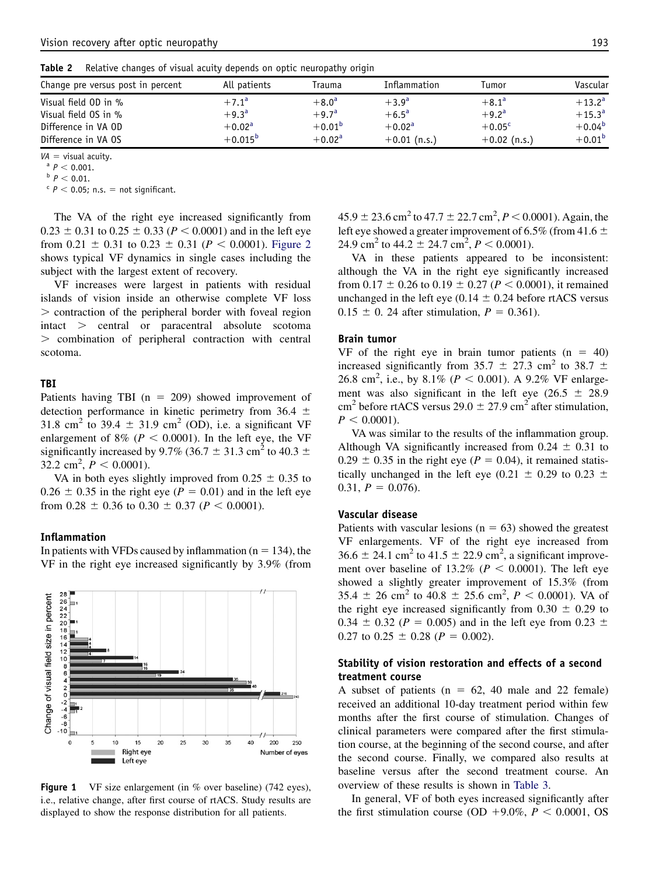<span id="page-4-0"></span>

| Table 2 | Relative changes of visual acuity depends on optic neuropathy origin |  |  |  |
|---------|----------------------------------------------------------------------|--|--|--|
|         |                                                                      |  |  |  |
|         |                                                                      |  |  |  |

| All patients    | Trauma         | Inflammation   | Tumor           | Vascular        |
|-----------------|----------------|----------------|-----------------|-----------------|
| $+7.1^a$        | $+8.0^{\rm a}$ | $+3.9^{a}$     | $+8.1^{\circ}$  | $+13.2^{\rm a}$ |
| $+9.3^{a}$      | $+9.7^{a}$     | $+6.5^{\circ}$ | $+9.2^{\rm a}$  | $+15.3^{\circ}$ |
| $+0.02^{\rm a}$ | $+0.01^{b}$    | $+0.02a$       | $+0.05^{\circ}$ | $+0.04^{b}$     |
| $+0.015^{b}$    | $+0.02a$       | $+0.01$ (n.s.) | $+0.02$ (n.s.)  | $+0.01^{b}$     |
|                 |                |                |                 |                 |

VA = visual acuity.<br>
<sup>a</sup>  $P < 0.001$ .<br>
<sup>b</sup>  $P < 0.01$ .<br>
<sup>c</sup>  $P < 0.05$ ; n.s. = not significant.

The VA of the right eye increased significantly from  $0.23 \pm 0.31$  to  $0.25 \pm 0.33$  ( $P < 0.0001$ ) and in the left eye from 0.21  $\pm$  0.31 to 0.23  $\pm$  0.31 (P < 0.0001). [Figure 2](#page-5-0) shows typical VF dynamics in single cases including the subject with the largest extent of recovery.

VF increases were largest in patients with residual islands of vision inside an otherwise complete VF loss . contraction of the peripheral border with foveal region intact . central or paracentral absolute scotoma . combination of peripheral contraction with central scotoma.

#### TBI

Patients having TBI ( $n = 209$ ) showed improvement of detection performance in kinetic perimetry from 36.4  $\pm$ 31.8 cm<sup>2</sup> to 39.4  $\pm$  31.9 cm<sup>2</sup> (OD), i.e. a significant VF enlargement of 8% ( $P < 0.0001$ ). In the left eye, the VF significantly increased by 9.7% (36.7  $\pm$  31.3 cm<sup>2</sup> to 40.3  $\pm$  $32.2 \text{ cm}^2$ ,  $P < 0.0001$ ).

VA in both eyes slightly improved from  $0.25 \pm 0.35$  to  $0.26 \pm 0.35$  in the right eye ( $P = 0.01$ ) and in the left eye from  $0.28 \pm 0.36$  to  $0.30 \pm 0.37$  ( $P < 0.0001$ ).

#### Inflammation

In patients with VFDs caused by inflammation ( $n = 134$ ), the VF in the right eye increased significantly by 3.9% (from



Figure 1 VF size enlargement (in % over baseline) (742 eyes), i.e., relative change, after first course of rtACS. Study results are displayed to show the response distribution for all patients.

 $45.9 \pm 23.6$  cm<sup>2</sup> to  $47.7 \pm 22.7$  cm<sup>2</sup>,  $P < 0.0001$ ). Again, the left eye showed a greater improvement of 6.5% (from 41.6  $\pm$ 24.9 cm<sup>2</sup> to 44.2  $\pm$  24.7 cm<sup>2</sup>,  $P < 0.0001$ ).

VA in these patients appeared to be inconsistent: although the VA in the right eye significantly increased from  $0.17 \pm 0.26$  to  $0.19 \pm 0.27$  ( $P < 0.0001$ ), it remained unchanged in the left eye (0.14  $\pm$  0.24 before rtACS versus  $0.15 \pm 0.24$  after stimulation,  $P = 0.361$ .

#### Brain tumor

VF of the right eye in brain tumor patients  $(n = 40)$ increased significantly from 35.7  $\pm$  27.3 cm<sup>2</sup> to 38.7  $\pm$ 26.8 cm<sup>2</sup>, i.e., by 8.1% ( $P < 0.001$ ). A 9.2% VF enlargement was also significant in the left eye (26.5  $\pm$  28.9 cm<sup>2</sup> before rtACS versus  $29.0 \pm 27.9$  cm<sup>2</sup> after stimulation,  $P < 0.0001$ .

VA was similar to the results of the inflammation group. Although VA significantly increased from  $0.24 \pm 0.31$  to  $0.29 \pm 0.35$  in the right eye ( $P = 0.04$ ), it remained statistically unchanged in the left eye (0.21  $\pm$  0.29 to 0.23  $\pm$ 0.31,  $P = 0.076$ .

## Vascular disease

Patients with vascular lesions ( $n = 63$ ) showed the greatest VF enlargements. VF of the right eye increased from  $36.6 \pm 24.1$  cm<sup>2</sup> to  $41.5 \pm 22.9$  cm<sup>2</sup>, a significant improvement over baseline of 13.2% ( $P < 0.0001$ ). The left eye showed a slightly greater improvement of 15.3% (from  $35.4 \pm 26$  cm<sup>2</sup> to  $40.8 \pm 25.6$  cm<sup>2</sup>,  $P < 0.0001$ ). VA of the right eye increased significantly from  $0.30 \pm 0.29$  to 0.34  $\pm$  0.32 (P = 0.005) and in the left eye from 0.23  $\pm$ 0.27 to 0.25  $\pm$  0.28 ( $P = 0.002$ ).

# Stability of vision restoration and effects of a second treatment course

A subset of patients ( $n = 62$ , 40 male and 22 female) received an additional 10-day treatment period within few months after the first course of stimulation. Changes of clinical parameters were compared after the first stimulation course, at the beginning of the second course, and after the second course. Finally, we compared also results at baseline versus after the second treatment course. An overview of these results is shown in [Table 3.](#page-6-0)

In general, VF of both eyes increased significantly after the first stimulation course (OD  $+9.0\%$ ,  $P < 0.0001$ , OS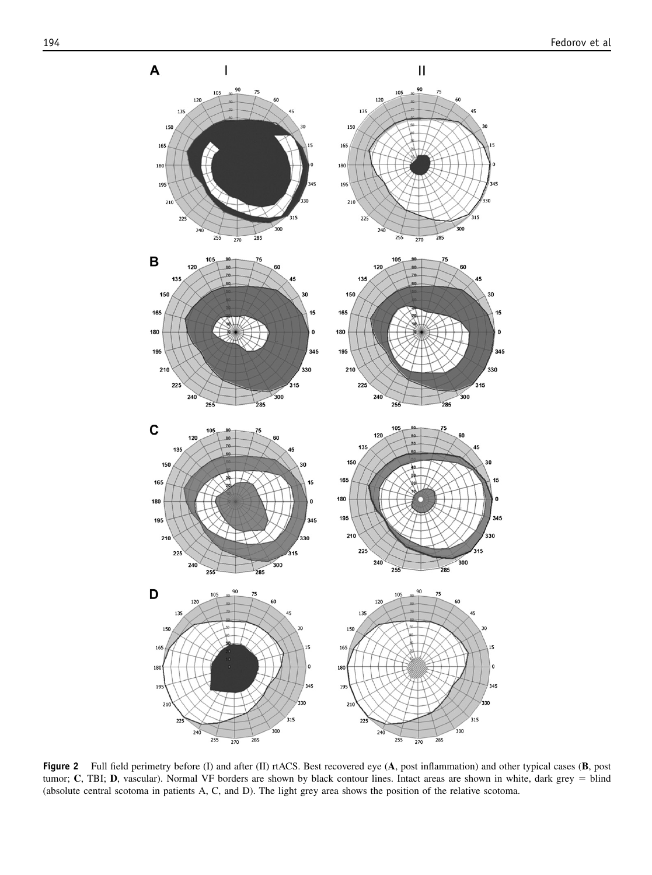$\mathbf{H}$ 

.<br>315

 $\overline{\mathbf{30}}$ 

,<br>315

<span id="page-5-0"></span>

 $\, {\bf B}$ 

 $\mathbf c$ 

D

I



Figure 2 Full field perimetry before (I) and after (II) rtACS. Best recovered eye  $(A, \text{post}$  inflammation) and other typical cases  $(B, \text{post})$ tumor; C, TBI; D, vascular). Normal VF borders are shown by black contour lines. Intact areas are shown in white, dark grey = blind (absolute central scotoma in patients A, C, and D). The light grey area shows the position of the relative scotoma.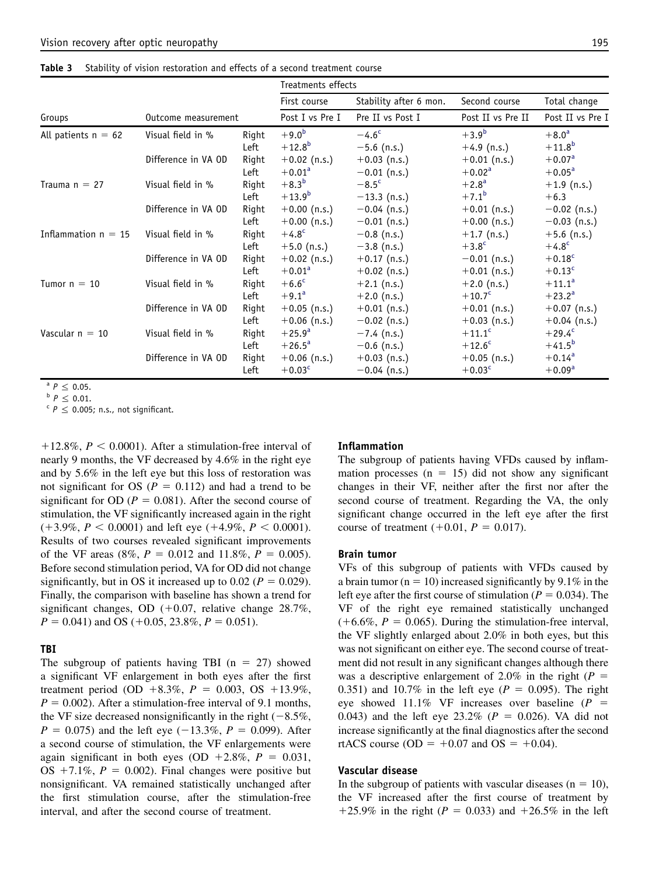<span id="page-6-0"></span>Table 3 Stability of vision restoration and effects of a second treatment course

|                       |                     |       | Treatments effects |                        |                   |                  |
|-----------------------|---------------------|-------|--------------------|------------------------|-------------------|------------------|
|                       |                     |       | First course       | Stability after 6 mon. | Second course     | Total change     |
| Groups                | Outcome measurement |       | Post I vs Pre I    | Pre II vs Post I       | Post II vs Pre II | Post II vs Pre I |
| All patients $n = 62$ | Visual field in %   | Right | $+9.0^{b}$         | $-4.6^{\circ}$         | $+3.9^{b}$        | $+8.0^{\rm a}$   |
|                       |                     | Left  | $+12.8^{b}$        | $-5.6$ (n.s.)          | $+4.9$ (n.s.)     | $+11.8^{b}$      |
|                       | Difference in VA OD | Right | $+0.02$ (n.s.)     | $+0.03$ (n.s.)         | $+0.01$ (n.s.)    | $+0.07a$         |
|                       |                     | Left  | $+0.01^{\rm a}$    | $-0.01$ (n.s.)         | $+0.02^{\rm a}$   | $+0.05^{\rm a}$  |
| Trauma $n = 27$       | Visual field in %   | Right | $+8.3^{b}$         | $-8.5c$                | $+2.8^{\rm a}$    | $+1.9$ (n.s.)    |
|                       |                     | Left  | $+13.9^{b}$        | $-13.3$ (n.s.)         | $+7.1^{b}$        | $+6.3$           |
|                       | Difference in VA OD | Right | $+0.00$ (n.s.)     | $-0.04$ (n.s.)         | $+0.01$ (n.s.)    | $-0.02$ (n.s.)   |
|                       |                     | Left  | $+0.00$ (n.s.)     | $-0.01$ (n.s.)         | $+0.00$ (n.s.)    | $-0.03$ (n.s.)   |
| Inflammation $n = 15$ | Visual field in %   | Right | $+4.8^{\circ}$     | $-0.8$ (n.s.)          | $+1.7$ (n.s.)     | $+5.6$ (n.s.)    |
|                       |                     | Left  | $+5.0$ (n.s.)      | $-3.8$ (n.s.)          | $+3.8^c$          | $+4.8^{\circ}$   |
|                       | Difference in VA OD | Right | $+0.02$ (n.s.)     | $+0.17$ (n.s.)         | $-0.01$ (n.s.)    | $+0.18^c$        |
|                       |                     | Left  | $+0.01^a$          | $+0.02$ (n.s.)         | $+0.01$ (n.s.)    | $+0.13^c$        |
| Tumor $n = 10$        | Visual field in %   | Right | $+6.6^{\circ}$     | $+2.1$ (n.s.)          | $+2.0$ (n.s.)     | $+11.1^a$        |
|                       |                     | Left  | $+9.1^a$           | $+2.0$ (n.s.)          | $+10.7^{\circ}$   | $+23.2^{\circ}$  |
|                       | Difference in VA OD | Right | $+0.05$ (n.s.)     | $+0.01$ (n.s.)         | $+0.01$ (n.s.)    | $+0.07$ (n.s.)   |
|                       |                     | Left  | $+0.06$ (n.s.)     | $-0.02$ (n.s.)         | $+0.03$ (n.s.)    | $+0.04$ (n.s.)   |
| Vascular $n = 10$     | Visual field in %   | Right | $+25.9^{\circ}$    | $-7.4$ (n.s.)          | $+11.1^c$         | $+29.4^{\circ}$  |
|                       |                     | Left  | $+26.5^{\circ}$    | $-0.6$ (n.s.)          | $+12.6c$          | $+41.5^{b}$      |
|                       | Difference in VA OD | Right | $+0.06$ (n.s.)     | $+0.03$ (n.s.)         | $+0.05$ (n.s.)    | $+0.14^{a}$      |
|                       |                     | Left  | $+0.03c$           | $-0.04$ (n.s.)         | $+0.03c$          | $+0.09a$         |

<sup>a</sup>  $P \le 0.05$ .<br>
<sup>b</sup>  $P \le 0.01$ .<br>
<sup>c</sup>  $P \le 0.005$ ; n.s., not significant.

 $112.8\%$ ,  $P < 0.0001$ ). After a stimulation-free interval of nearly 9 months, the VF decreased by 4.6% in the right eye and by 5.6% in the left eye but this loss of restoration was not significant for OS ( $P = 0.112$ ) and had a trend to be significant for OD ( $P = 0.081$ ). After the second course of stimulation, the VF significantly increased again in the right  $(+3.9\%, P < 0.0001)$  and left eye  $(+4.9\%, P < 0.0001)$ . Results of two courses revealed significant improvements of the VF areas (8%,  $P = 0.012$  and 11.8%,  $P = 0.005$ ). Before second stimulation period, VA for OD did not change significantly, but in OS it increased up to 0.02 ( $P = 0.029$ ). Finally, the comparison with baseline has shown a trend for significant changes, OD  $(+0.07,$  relative change 28.7%,  $P = 0.041$ ) and OS (+0.05, 23.8%,  $P = 0.051$ ).

#### TBI

The subgroup of patients having TBI ( $n = 27$ ) showed a significant VF enlargement in both eyes after the first treatment period (OD +8.3%,  $P = 0.003$ , OS +13.9%,  $P = 0.002$ ). After a stimulation-free interval of 9.1 months, the VF size decreased nonsignificantly in the right  $(-8.5\%,$  $P = 0.075$ ) and the left eye (-13.3%,  $P = 0.099$ ). After a second course of stimulation, the VF enlargements were again significant in both eyes (OD +2.8%,  $P = 0.031$ , OS  $+7.1\%$ ,  $P = 0.002$ ). Final changes were positive but nonsignificant. VA remained statistically unchanged after the first stimulation course, after the stimulation-free interval, and after the second course of treatment.

#### Inflammation

The subgroup of patients having VFDs caused by inflammation processes ( $n = 15$ ) did not show any significant changes in their VF, neither after the first nor after the second course of treatment. Regarding the VA, the only significant change occurred in the left eye after the first course of treatment  $(+0.01, P = 0.017)$ .

#### Brain tumor

VFs of this subgroup of patients with VFDs caused by a brain tumor ( $n = 10$ ) increased significantly by 9.1% in the left eye after the first course of stimulation ( $P = 0.034$ ). The VF of the right eye remained statistically unchanged  $(+6.6\%, P = 0.065)$ . During the stimulation-free interval, the VF slightly enlarged about 2.0% in both eyes, but this was not significant on either eye. The second course of treatment did not result in any significant changes although there was a descriptive enlargement of 2.0% in the right ( $P =$ 0.351) and 10.7% in the left eye ( $P = 0.095$ ). The right eye showed 11.1% VF increases over baseline  $(P =$ 0.043) and the left eye 23.2% ( $P = 0.026$ ). VA did not increase significantly at the final diagnostics after the second rtACS course (OD =  $+0.07$  and OS =  $+0.04$ ).

## Vascular disease

In the subgroup of patients with vascular diseases ( $n = 10$ ), the VF increased after the first course of treatment by +25.9% in the right ( $P = 0.033$ ) and +26.5% in the left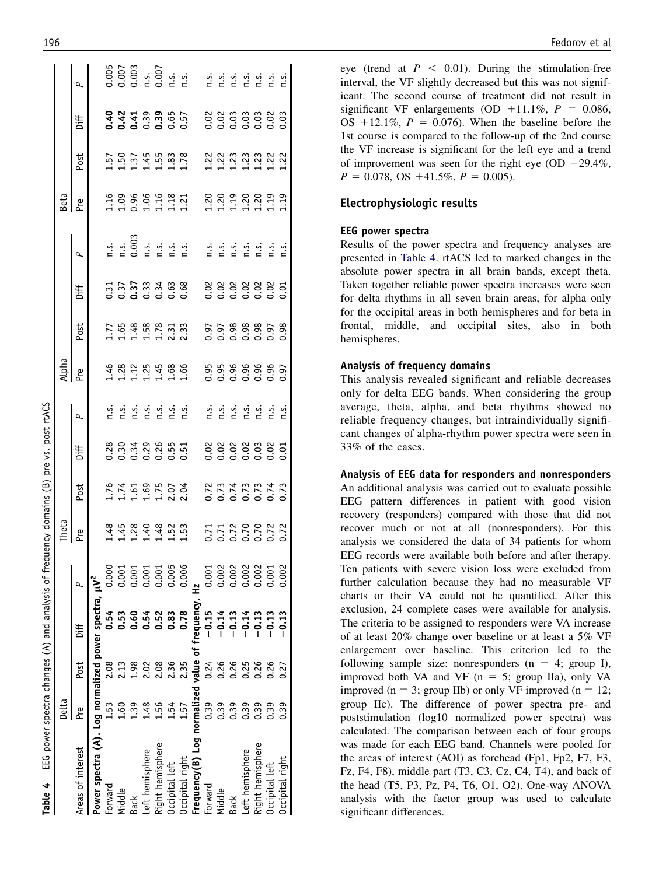| <b>Table 4</b> EEG power spectra changes $(A)$ and analysis of frequency domains $(B)$ |        |             |         |        |                                                             |                                                                    | pre vs. post rtACS                       |                                                                                                                                                                                                             |                            |                            |                                                                                                                 |                                                                                                                                                                                                                                                                                                                                                                                                                                                  |                                                                                            |                                                |                      |                                                                           |
|----------------------------------------------------------------------------------------|--------|-------------|---------|--------|-------------------------------------------------------------|--------------------------------------------------------------------|------------------------------------------|-------------------------------------------------------------------------------------------------------------------------------------------------------------------------------------------------------------|----------------------------|----------------------------|-----------------------------------------------------------------------------------------------------------------|--------------------------------------------------------------------------------------------------------------------------------------------------------------------------------------------------------------------------------------------------------------------------------------------------------------------------------------------------------------------------------------------------------------------------------------------------|--------------------------------------------------------------------------------------------|------------------------------------------------|----------------------|---------------------------------------------------------------------------|
|                                                                                        | Delta  |             |         |        | Theta                                                       |                                                                    |                                          |                                                                                                                                                                                                             | 로<br>국 동                   |                            |                                                                                                                 |                                                                                                                                                                                                                                                                                                                                                                                                                                                  | Beta                                                                                       |                                                |                      |                                                                           |
| Areas of interest                                                                      | م<br>م | Post        | jif     | Q,     | Pre                                                         | Post                                                               | Diff                                     | $\overline{a}$                                                                                                                                                                                              |                            | Post                       | Diff                                                                                                            | $\overline{a}$                                                                                                                                                                                                                                                                                                                                                                                                                                   | Pre                                                                                        | Post                                           | Diff                 | P.                                                                        |
| Power spectra (A). Log normalized power spectra, $\mu V^2$                             |        |             |         |        |                                                             |                                                                    |                                          |                                                                                                                                                                                                             |                            |                            |                                                                                                                 |                                                                                                                                                                                                                                                                                                                                                                                                                                                  |                                                                                            |                                                |                      |                                                                           |
| Forward                                                                                | L53    | 2.08        | 0.54    | 0.000  |                                                             |                                                                    |                                          |                                                                                                                                                                                                             |                            |                            |                                                                                                                 |                                                                                                                                                                                                                                                                                                                                                                                                                                                  |                                                                                            |                                                |                      |                                                                           |
| Middle                                                                                 | $-60$  |             | 0.53    | 0.001  | $1.48$<br>$1.428$<br>$1.434$<br>$1.434$<br>$1.53$<br>$1.53$ | $1.760$<br>$1.760$<br>$1.760$<br>$1.760$<br>$1.700$<br>$1.704$     | 28<br>2003 2005<br>2006 2005<br>2006 200 |                                                                                                                                                                                                             | $488214986$<br>$411114686$ | $1.59888733$<br>$1.111123$ | $\frac{3}{2}$ $\frac{5}{2}$ $\frac{5}{2}$ $\frac{3}{2}$ $\frac{3}{4}$ $\frac{4}{6}$ $\frac{6}{6}$ $\frac{8}{6}$ | 1.<br>1.003<br>1.001 1.01<br>1.01 1.01                                                                                                                                                                                                                                                                                                                                                                                                           | $1.0966$<br>$1.0966$<br>$1.131$<br>$1.21$                                                  | $1.50$<br>$1.45$<br>$1.45$<br>$1.78$<br>$1.78$ | 0.4439005            | $0.005$<br>$0.003$<br>$0.003$<br>$0.007$<br>$0.007$<br>$0.007$<br>$0.007$ |
| Back                                                                                   |        |             | 0.60    | 0.001  |                                                             |                                                                    |                                          |                                                                                                                                                                                                             |                            |                            |                                                                                                                 |                                                                                                                                                                                                                                                                                                                                                                                                                                                  |                                                                                            |                                                |                      |                                                                           |
| eft hemisphere                                                                         |        |             | 0.54    | 0.001  |                                                             |                                                                    |                                          |                                                                                                                                                                                                             |                            |                            |                                                                                                                 |                                                                                                                                                                                                                                                                                                                                                                                                                                                  |                                                                                            |                                                |                      |                                                                           |
| Right hemisphere                                                                       |        | <b>2.08</b> | 0.52    | 0.001  |                                                             |                                                                    |                                          |                                                                                                                                                                                                             |                            |                            |                                                                                                                 |                                                                                                                                                                                                                                                                                                                                                                                                                                                  |                                                                                            |                                                |                      |                                                                           |
| Occipital left                                                                         |        | 2.36        | 0.83    | 0.005  |                                                             |                                                                    |                                          |                                                                                                                                                                                                             |                            |                            |                                                                                                                 |                                                                                                                                                                                                                                                                                                                                                                                                                                                  |                                                                                            |                                                |                      |                                                                           |
| Occipital right                                                                        | 1.57   | 2.35        | 0.78    | 0.006  |                                                             |                                                                    |                                          |                                                                                                                                                                                                             |                            |                            |                                                                                                                 |                                                                                                                                                                                                                                                                                                                                                                                                                                                  |                                                                                            |                                                |                      |                                                                           |
| Frequency(B) Log normalized value of frequency,                                        |        |             |         | r<br>H |                                                             |                                                                    |                                          |                                                                                                                                                                                                             |                            |                            |                                                                                                                 |                                                                                                                                                                                                                                                                                                                                                                                                                                                  |                                                                                            |                                                |                      |                                                                           |
| Forward                                                                                | 0.39   | 0.24        | $-0.15$ | 0.001  |                                                             |                                                                    |                                          |                                                                                                                                                                                                             |                            |                            |                                                                                                                 |                                                                                                                                                                                                                                                                                                                                                                                                                                                  |                                                                                            |                                                |                      |                                                                           |
| Middle                                                                                 | 0.39   | 0.26        | $-0.14$ | 0.002  |                                                             | $7,74$<br>$7,74$<br>$7,74$<br>$7,74$<br>$7,74$<br>$7,74$<br>$7,73$ | 8 8 8 8 8 8 8<br>8 8 8 8 8 8 8 9         | $\begin{array}{ccccccccccccc}\n\dot{a} & \dot{a} & \dot{a} & \dot{a} & \dot{a} & \dot{a} & \dot{a} & \dot{a} \\ \dot{c} & \dot{c} & \dot{c} & \dot{c} & \dot{c} & \dot{c} & \dot{c} & \dot{c}\n\end{array}$ | 95988885.95<br>0.00000000  | 55888558                   |                                                                                                                 | $\begin{array}{cccccccccc} 1 & . & . & . & . & . & . \\ 1 & . & . & . & . & . & . \\ 1 & . & . & . & . & . & . \\ 1 & . & . & . & . & . \\ 1 & . & . & . & . & . \\ 1 & . & . & . & . & . \\ 1 & . & . & . & . & . \\ 1 & . & . & . & . & . \\ 1 & . & . & . & . & . \\ 1 & . & . & . & . & . \\ 1 & . & . & . & . & . \\ 1 & . & . & . & . & . \\ 1 & . & . & . & . & . \\ 1 & . & . & . & . & . \\ 1 & . & . & . & . & . \\ 1 & . & . & . & .$ | $\begin{array}{c} 23 & 23 & 23 & 23 \\ 11 & 11 & 11 & 11 \\ 11 & 11 & 11 & 11 \end{array}$ | 223333323                                      | 88888888<br>88888888 |                                                                           |
| Back                                                                                   | 0.39   | 0.26        | $-0.13$ | 0.002  |                                                             |                                                                    |                                          |                                                                                                                                                                                                             |                            |                            |                                                                                                                 |                                                                                                                                                                                                                                                                                                                                                                                                                                                  |                                                                                            |                                                |                      |                                                                           |
| Left hemisphere                                                                        | 0.39   | 0.25        | $-0.14$ | 0.002  |                                                             |                                                                    |                                          |                                                                                                                                                                                                             |                            |                            |                                                                                                                 |                                                                                                                                                                                                                                                                                                                                                                                                                                                  |                                                                                            |                                                |                      |                                                                           |
| Right hemisphere                                                                       | 0.39   |             | $-0.13$ | 0.002  |                                                             |                                                                    |                                          |                                                                                                                                                                                                             |                            |                            |                                                                                                                 |                                                                                                                                                                                                                                                                                                                                                                                                                                                  |                                                                                            |                                                |                      |                                                                           |
| Occipital left                                                                         |        |             | $-0.13$ | 0.001  |                                                             |                                                                    |                                          |                                                                                                                                                                                                             |                            |                            |                                                                                                                 |                                                                                                                                                                                                                                                                                                                                                                                                                                                  |                                                                                            |                                                |                      |                                                                           |
| Occipital right                                                                        | 0.39   | 0.27        | $-0.13$ | 0.002  |                                                             |                                                                    |                                          |                                                                                                                                                                                                             |                            |                            |                                                                                                                 |                                                                                                                                                                                                                                                                                                                                                                                                                                                  |                                                                                            |                                                |                      | E S S S S S S S S S                                                       |
|                                                                                        |        |             |         |        |                                                             |                                                                    |                                          |                                                                                                                                                                                                             |                            |                            |                                                                                                                 |                                                                                                                                                                                                                                                                                                                                                                                                                                                  |                                                                                            |                                                |                      |                                                                           |

eye (trend at  $P < 0.01$ ). During the stimulation-free interval, the VF slightly decreased but this was not significant. The second course of treatment did not result in significant VF enlargements (OD  $+11.1\%$ ,  $P = 0.086$ , OS  $+12.1\%$ ,  $P = 0.076$ ). When the baseline before the 1st course is compared to the follow-up of the 2nd course the VF increase is significant for the left eye and a trend of improvement was seen for the right eye (OD  $+29.4\%$ ,  $P = 0.078$ , OS +41.5%,  $P = 0.005$ ).

# Electrophysiologic results

#### EEG power spectra

Results of the power spectra and frequency analyses are presented in Table 4. rtACS led to marked changes in the absolute power spectra in all brain bands, except theta. Taken together reliable power spectra increases were seen for delta rhythms in all seven brain areas, for alpha only for the occipital areas in both hemispheres and for beta in frontal, middle, and occipital sites, also in both hemispheres.

#### Analysis of frequency domains

This analysis revealed significant and reliable decreases only for delta EEG bands. When considering the group average, theta, alpha, and beta rhythms showed no reliable frequency changes, but intraindividually significant changes of alpha-rhythm power spectra were seen in 33% of the cases.

## Analysis of EEG data for responders and nonresponders

An additional analysis was carried out to evaluate possible EEG pattern differences in patient with good vision recovery (responders) compared with those that did not recover much or not at all (nonresponders). For this analysis we considered the data of 34 patients for whom EEG records were available both before and after therapy. Ten patients with severe vision loss were excluded from further calculation because they had no measurable VF charts or their VA could not be quantified. After this exclusion, 24 complete cases were available for analysis. The criteria to be assigned to responders were VA increase of at least 20% change over baseline or at least a 5% VF enlargement over baseline. This criterion led to the following sample size: nonresponders  $(n = 4; group I)$ , improved both VA and VF  $(n = 5;$  group IIa), only VA improved ( $n = 3$ ; group IIb) or only VF improved ( $n = 12$ ; group IIc). The difference of power spectra pre- and poststimulation (log10 normalized power spectra) was calculated. The comparison between each of four groups was made for each EEG band. Channels were pooled for the areas of interest (AOI) as forehead (Fp1, Fp2, F7, F3, Fz, F4, F8), middle part (T3, C3, Cz, C4, T4), and back of the head (T5, P3, Pz, P4, T6, O1, O2). One-way ANOVA analysis with the factor group was used to calculate significant differences.

Table 4

EEG power spectra changes (A) and analysis of frequency domains (B) pre vs. post rtACS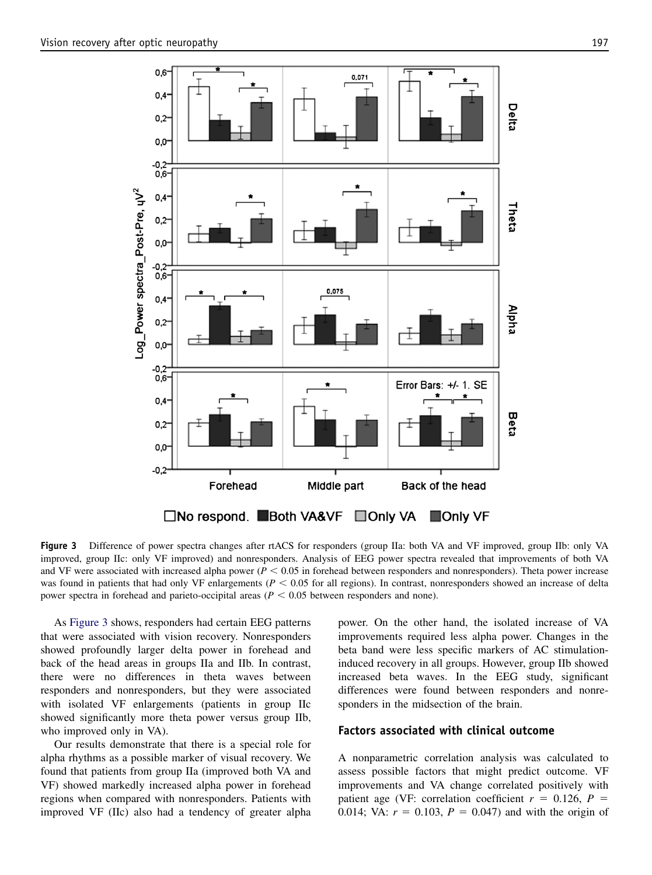

Figure 3 Difference of power spectra changes after rtACS for responders (group IIa: both VA and VF improved, group IIb: only VA improved, group IIc: only VF improved) and nonresponders. Analysis of EEG power spectra revealed that improvements of both VA and VF were associated with increased alpha power ( $P < 0.05$  in forehead between responders and nonresponders). Theta power increase was found in patients that had only VF enlargements ( $P < 0.05$  for all regions). In contrast, nonresponders showed an increase of delta power spectra in forehead and parieto-occipital areas ( $P < 0.05$  between responders and none).

As Figure 3 shows, responders had certain EEG patterns that were associated with vision recovery. Nonresponders showed profoundly larger delta power in forehead and back of the head areas in groups IIa and IIb. In contrast, there were no differences in theta waves between responders and nonresponders, but they were associated with isolated VF enlargements (patients in group IIc showed significantly more theta power versus group IIb, who improved only in VA).

Our results demonstrate that there is a special role for alpha rhythms as a possible marker of visual recovery. We found that patients from group IIa (improved both VA and VF) showed markedly increased alpha power in forehead regions when compared with nonresponders. Patients with improved VF (IIc) also had a tendency of greater alpha

power. On the other hand, the isolated increase of VA improvements required less alpha power. Changes in the beta band were less specific markers of AC stimulationinduced recovery in all groups. However, group IIb showed increased beta waves. In the EEG study, significant differences were found between responders and nonresponders in the midsection of the brain.

# Factors associated with clinical outcome

A nonparametric correlation analysis was calculated to assess possible factors that might predict outcome. VF improvements and VA change correlated positively with patient age (VF: correlation coefficient  $r = 0.126$ ,  $P =$ 0.014; VA:  $r = 0.103$ ,  $P = 0.047$ ) and with the origin of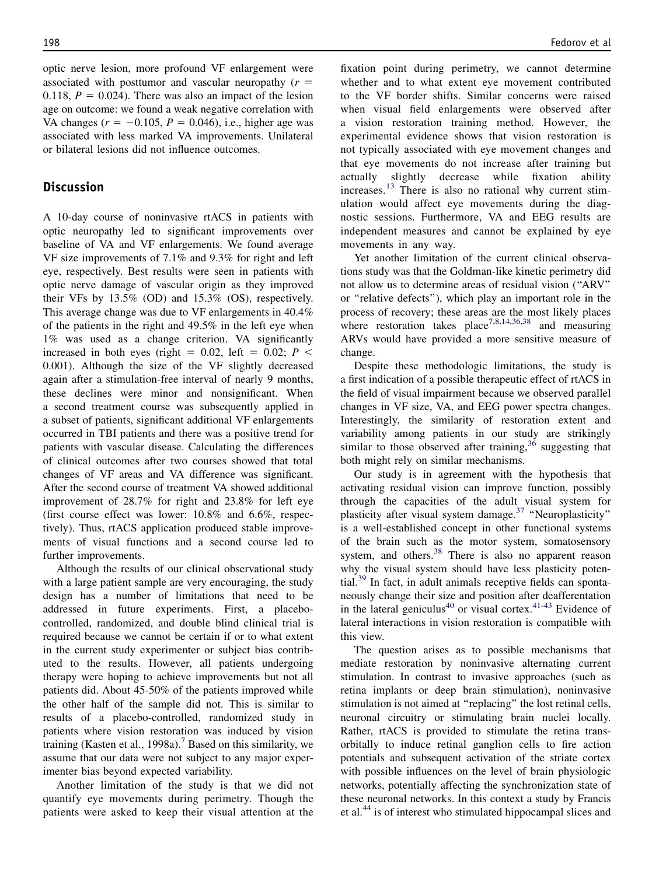optic nerve lesion, more profound VF enlargement were associated with posttumor and vascular neuropathy  $(r =$ 0.118,  $P = 0.024$ ). There was also an impact of the lesion age on outcome: we found a weak negative correlation with VA changes ( $r = -0.105$ ,  $P = 0.046$ ), i.e., higher age was associated with less marked VA improvements. Unilateral or bilateral lesions did not influence outcomes.

# **Discussion**

A 10-day course of noninvasive rtACS in patients with optic neuropathy led to significant improvements over baseline of VA and VF enlargements. We found average VF size improvements of 7.1% and 9.3% for right and left eye, respectively. Best results were seen in patients with optic nerve damage of vascular origin as they improved their VFs by 13.5% (OD) and 15.3% (OS), respectively. This average change was due to VF enlargements in 40.4% of the patients in the right and 49.5% in the left eye when 1% was used as a change criterion. VA significantly increased in both eyes (right = 0.02, left = 0.02;  $P$  < 0.001). Although the size of the VF slightly decreased again after a stimulation-free interval of nearly 9 months, these declines were minor and nonsignificant. When a second treatment course was subsequently applied in a subset of patients, significant additional VF enlargements occurred in TBI patients and there was a positive trend for patients with vascular disease. Calculating the differences of clinical outcomes after two courses showed that total changes of VF areas and VA difference was significant. After the second course of treatment VA showed additional improvement of 28.7% for right and 23.8% for left eye (first course effect was lower: 10.8% and 6.6%, respectively). Thus, rtACS application produced stable improvements of visual functions and a second course led to further improvements.

Although the results of our clinical observational study with a large patient sample are very encouraging, the study design has a number of limitations that need to be addressed in future experiments. First, a placebocontrolled, randomized, and double blind clinical trial is required because we cannot be certain if or to what extent in the current study experimenter or subject bias contributed to the results. However, all patients undergoing therapy were hoping to achieve improvements but not all patients did. About 45-50% of the patients improved while the other half of the sample did not. This is similar to results of a placebo-controlled, randomized study in patients where vision restoration was induced by vision training (Kasten et al., 1998a).<sup>[7](#page-11-0)</sup> Based on this similarity, we assume that our data were not subject to any major experimenter bias beyond expected variability.

Another limitation of the study is that we did not quantify eye movements during perimetry. Though the patients were asked to keep their visual attention at the

fixation point during perimetry, we cannot determine whether and to what extent eye movement contributed to the VF border shifts. Similar concerns were raised when visual field enlargements were observed after a vision restoration training method. However, the experimental evidence shows that vision restoration is not typically associated with eye movement changes and that eye movements do not increase after training but actually slightly decrease while fixation ability increases.[13](#page-11-0) There is also no rational why current stimulation would affect eye movements during the diagnostic sessions. Furthermore, VA and EEG results are independent measures and cannot be explained by eye movements in any way.

Yet another limitation of the current clinical observations study was that the Goldman-like kinetic perimetry did not allow us to determine areas of residual vision (''ARV'' or ''relative defects''), which play an important role in the process of recovery; these areas are the most likely places where restoration takes place<sup>[7,8,14,36,38](#page-11-0)</sup> and measuring ARVs would have provided a more sensitive measure of change.

Despite these methodologic limitations, the study is a first indication of a possible therapeutic effect of rtACS in the field of visual impairment because we observed parallel changes in VF size, VA, and EEG power spectra changes. Interestingly, the similarity of restoration extent and variability among patients in our study are strikingly similar to those observed after training,  $36$  suggesting that both might rely on similar mechanisms.

Our study is in agreement with the hypothesis that activating residual vision can improve function, possibly through the capacities of the adult visual system for plasticity after visual system damage.<sup>[37](#page-11-0)</sup> "Neuroplasticity" is a well-established concept in other functional systems of the brain such as the motor system, somatosensory system, and others.<sup>[38](#page-11-0)</sup> There is also no apparent reason why the visual system should have less plasticity poten-tial.<sup>[39](#page-11-0)</sup> In fact, in adult animals receptive fields can spontaneously change their size and position after deafferentation in the lateral geniculus<sup>[40](#page-11-0)</sup> or visual cortex.<sup>[41-43](#page-11-0)</sup> Evidence of lateral interactions in vision restoration is compatible with this view.

The question arises as to possible mechanisms that mediate restoration by noninvasive alternating current stimulation. In contrast to invasive approaches (such as retina implants or deep brain stimulation), noninvasive stimulation is not aimed at ''replacing'' the lost retinal cells, neuronal circuitry or stimulating brain nuclei locally. Rather, rtACS is provided to stimulate the retina transorbitally to induce retinal ganglion cells to fire action potentials and subsequent activation of the striate cortex with possible influences on the level of brain physiologic networks, potentially affecting the synchronization state of these neuronal networks. In this context a study by Francis et al.[44](#page-11-0) is of interest who stimulated hippocampal slices and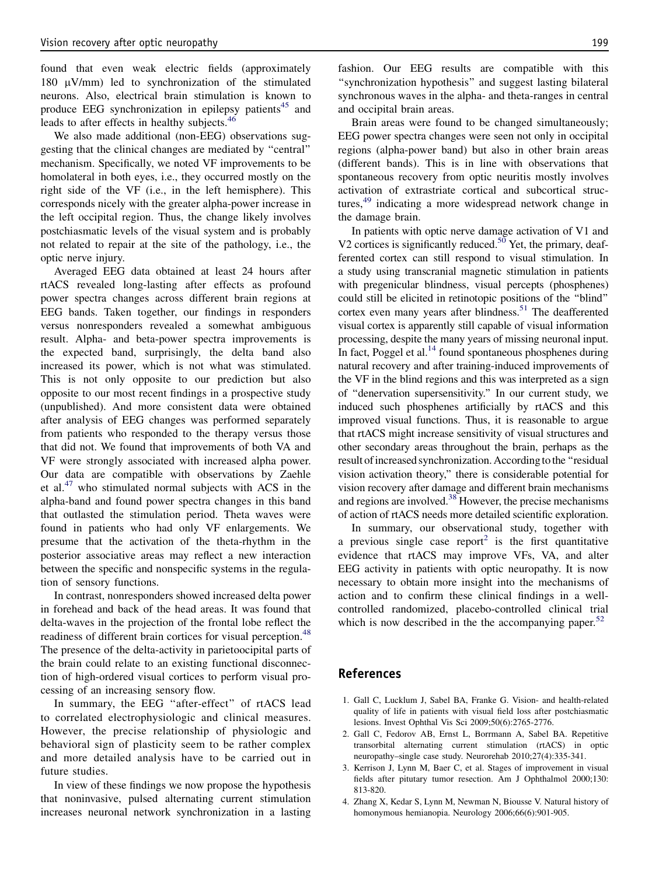<span id="page-10-0"></span>found that even weak electric fields (approximately 180  $\mu$ V/mm) led to synchronization of the stimulated neurons. Also, electrical brain stimulation is known to produce EEG synchronization in epilepsy patients<sup>45</sup> and leads to after effects in healthy subjects.<sup>[46](#page-11-0)</sup>

We also made additional (non-EEG) observations suggesting that the clinical changes are mediated by ''central'' mechanism. Specifically, we noted VF improvements to be homolateral in both eyes, i.e., they occurred mostly on the right side of the VF (i.e., in the left hemisphere). This corresponds nicely with the greater alpha-power increase in the left occipital region. Thus, the change likely involves postchiasmatic levels of the visual system and is probably not related to repair at the site of the pathology, i.e., the optic nerve injury.

Averaged EEG data obtained at least 24 hours after rtACS revealed long-lasting after effects as profound power spectra changes across different brain regions at EEG bands. Taken together, our findings in responders versus nonresponders revealed a somewhat ambiguous result. Alpha- and beta-power spectra improvements is the expected band, surprisingly, the delta band also increased its power, which is not what was stimulated. This is not only opposite to our prediction but also opposite to our most recent findings in a prospective study (unpublished). And more consistent data were obtained after analysis of EEG changes was performed separately from patients who responded to the therapy versus those that did not. We found that improvements of both VA and VF were strongly associated with increased alpha power. Our data are compatible with observations by Zaehle et al. $47$  who stimulated normal subjects with ACS in the alpha-band and found power spectra changes in this band that outlasted the stimulation period. Theta waves were found in patients who had only VF enlargements. We presume that the activation of the theta-rhythm in the posterior associative areas may reflect a new interaction between the specific and nonspecific systems in the regulation of sensory functions.

In contrast, nonresponders showed increased delta power in forehead and back of the head areas. It was found that delta-waves in the projection of the frontal lobe reflect the readiness of different brain cortices for visual perception.<sup>[48](#page-12-0)</sup> The presence of the delta-activity in parietoocipital parts of the brain could relate to an existing functional disconnection of high-ordered visual cortices to perform visual processing of an increasing sensory flow.

In summary, the EEG "after-effect" of rtACS lead to correlated electrophysiologic and clinical measures. However, the precise relationship of physiologic and behavioral sign of plasticity seem to be rather complex and more detailed analysis have to be carried out in future studies.

In view of these findings we now propose the hypothesis that noninvasive, pulsed alternating current stimulation increases neuronal network synchronization in a lasting

fashion. Our EEG results are compatible with this ''synchronization hypothesis'' and suggest lasting bilateral synchronous waves in the alpha- and theta-ranges in central and occipital brain areas.

Brain areas were found to be changed simultaneously; EEG power spectra changes were seen not only in occipital regions (alpha-power band) but also in other brain areas (different bands). This is in line with observations that spontaneous recovery from optic neuritis mostly involves activation of extrastriate cortical and subcortical structures,[49](#page-12-0) indicating a more widespread network change in the damage brain.

In patients with optic nerve damage activation of V1 and V2 cortices is significantly reduced.<sup>[50](#page-12-0)</sup> Yet, the primary, deafferented cortex can still respond to visual stimulation. In a study using transcranial magnetic stimulation in patients with pregenicular blindness, visual percepts (phosphenes) could still be elicited in retinotopic positions of the ''blind'' cortex even many years after blindness.<sup>51</sup> The deafferented visual cortex is apparently still capable of visual information processing, despite the many years of missing neuronal input. In fact, Poggel et al. $^{14}$  found spontaneous phosphenes during natural recovery and after training-induced improvements of the VF in the blind regions and this was interpreted as a sign of ''denervation supersensitivity.'' In our current study, we induced such phosphenes artificially by rtACS and this improved visual functions. Thus, it is reasonable to argue that rtACS might increase sensitivity of visual structures and other secondary areas throughout the brain, perhaps as the result of increased synchronization. According to the "residual vision activation theory,'' there is considerable potential for vision recovery after damage and different brain mechanisms and regions are involved. $38$  However, the precise mechanisms of action of rtACS needs more detailed scientific exploration.

In summary, our observational study, together with a previous single case report<sup>2</sup> is the first quantitative evidence that rtACS may improve VFs, VA, and alter EEG activity in patients with optic neuropathy. It is now necessary to obtain more insight into the mechanisms of action and to confirm these clinical findings in a wellcontrolled randomized, placebo-controlled clinical trial which is now described in the the accompanying paper. $52$ 

# References

- 1. Gall C, Lucklum J, Sabel BA, Franke G. Vision- and health-related quality of life in patients with visual field loss after postchiasmatic lesions. Invest Ophthal Vis Sci 2009;50(6):2765-2776.
- 2. Gall C, Fedorov AB, Ernst L, Borrmann A, Sabel BA. Repetitive transorbital alternating current stimulation (rtACS) in optic neuropathy–single case study. Neurorehab 2010;27(4):335-341.
- 3. Kerrison J, Lynn M, Baer C, et al. Stages of improvement in visual fields after pitutary tumor resection. Am J Ophthalmol 2000;130: 813-820.
- 4. Zhang X, Kedar S, Lynn M, Newman N, Biousse V. Natural history of homonymous hemianopia. Neurology 2006;66(6):901-905.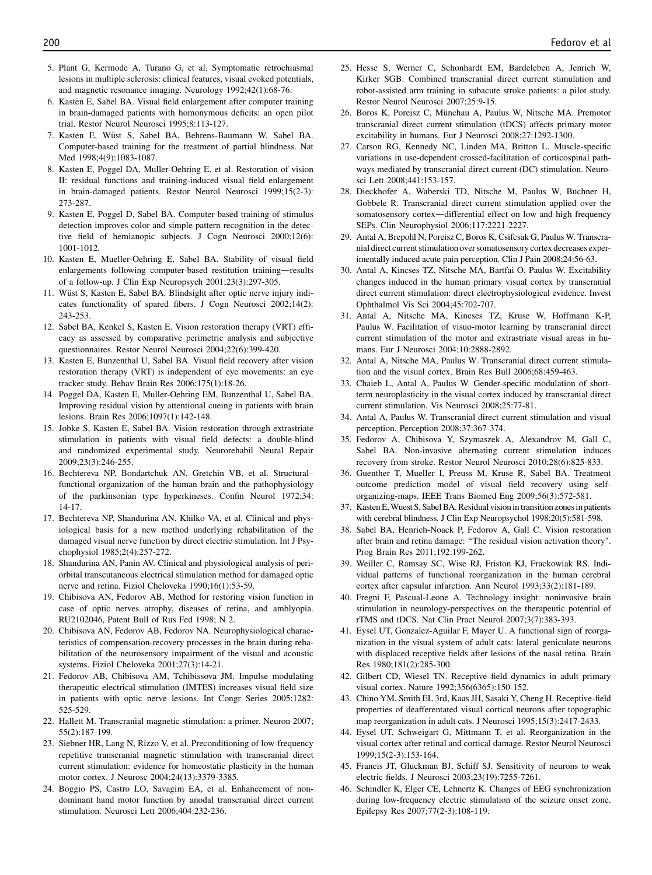- <span id="page-11-0"></span>5. Plant G, Kermode A, Turano G, et al. Symptomatic retrochiasmal lesions in multiple sclerosis: clinical features, visual evoked potentials, and magnetic resonance imaging. Neurology 1992;42(1):68-76.
- 6. Kasten E, Sabel BA. Visual field enlargement after computer training in brain-damaged patients with homonymous deficits: an open pilot trial. Restor Neurol Neurosci 1995;8:113-127.
- 7. Kasten E, Wüst S, Sabel BA, Behrens-Baumann W, Sabel BA. Computer-based training for the treatment of partial blindness. Nat Med 1998:4(9):1083-1087.
- 8. Kasten E, Poggel DA, Muller-Oehring E, et al. Restoration of vision II: residual functions and training-induced visual field enlargement in brain-damaged patients. Restor Neurol Neurosci 1999;15(2-3): 273-287.
- 9. Kasten E, Poggel D, Sabel BA. Computer-based training of stimulus detection improves color and simple pattern recognition in the detective field of hemianopic subjects. J Cogn Neurosci 2000;12(6): 1001-1012.
- 10. Kasten E, Mueller-Oehring E, Sabel BA. Stability of visual field enlargements following computer-based restitution training-results of a follow-up. J Clin Exp Neuropsych 2001;23(3):297-305.
- 11. Wüst S, Kasten E, Sabel BA. Blindsight after optic nerve injury indicates functionality of spared fibers. J Cogn Neurosci 2002;14(2): 243-253.
- 12. Sabel BA, Kenkel S, Kasten E. Vision restoration therapy (VRT) efficacy as assessed by comparative perimetric analysis and subjective questionnaires. Restor Neurol Neurosci 2004;22(6):399-420.
- 13. Kasten E, Bunzenthal U, Sabel BA. Visual field recovery after vision restoration therapy (VRT) is independent of eye movements: an eye tracker study. Behav Brain Res 2006;175(1):18-26.
- 14. Poggel DA, Kasten E, Muller-Oehring EM, Bunzenthal U, Sabel BA. Improving residual vision by attentional cueing in patients with brain lesions. Brain Res 2006;1097(1):142-148.
- 15. Jobke S, Kasten E, Sabel BA. Vision restoration through extrastriate stimulation in patients with visual field defects: a double-blind and randomized experimental study. Neurorehabil Neural Repair 2009;23(3):246-255.
- 16. Bechtereva NP, Bondartchuk AN, Gretchin VB, et al. Structural– functional organization of the human brain and the pathophysiology of the parkinsonian type hyperkineses. Confin Neurol 1972;34: 14-17.
- 17. Bechtereva NP, Shandurina AN, Khilko VA, et al. Clinical and physiological basis for a new method underlying rehabilitation of the damaged visual nerve function by direct electric stimulation. Int J Psychophysiol 1985;2(4):257-272.
- 18. Shandurina AN, Panin AV. Clinical and physiological analysis of periorbital transcutaneous electrical stimulation method for damaged optic nerve and retina. Fiziol Cheloveka 1990;16(1):53-59.
- 19. Chibisova AN, Fedorov AB, Method for restoring vision function in case of optic nerves atrophy, diseases of retina, and amblyopia. RU2102046, Patent Bull of Rus Fed 1998; N 2.
- 20. Chibisova AN, Fedorov AB, Fedorov NA. Neurophysiological characteristics of compensation-recovery processes in the brain during rehabilitation of the neurosensory impairment of the visual and acoustic systems. Fiziol Cheloveka 2001;27(3):14-21.
- 21. Fedorov AB, Chibisova AM, Tchibissova JM. Impulse modulating therapeutic electrical stimulation (IMTES) increases visual field size in patients with optic nerve lesions. Int Congr Series 2005;1282: 525-529.
- 22. Hallett M. Transcranial magnetic stimulation: a primer. Neuron 2007; 55(2):187-199.
- 23. Siebner HR, Lang N, Rizzo V, et al. Preconditioning of low-frequency repetitive transcranial magnetic stimulation with transcranial direct current stimulation: evidence for homeostatic plasticity in the human motor cortex. J Neurosc 2004;24(13):3379-3385.
- 24. Boggio PS, Castro LO, Savagim EA, et al. Enhancement of nondominant hand motor function by anodal transcranial direct current stimulation. Neurosci Lett 2006;404:232-236.
- 25. Hesse S, Werner C, Schonhardt EM, Bardeleben A, Jenrich W, Kirker SGB. Combined transcranial direct current stimulation and robot-assisted arm training in subacute stroke patients: a pilot study. Restor Neurol Neurosci 2007;25:9-15.
- 26. Boros K, Poreisz C, Münchau A, Paulus W, Nitsche MA. Premotor transcranial direct current stimulation (tDCS) affects primary motor excitability in humans. Eur J Neurosci 2008;27:1292-1300.
- 27. Carson RG, Kennedy NC, Linden MA, Britton L. Muscle-specific variations in use-dependent crossed-facilitation of corticospinal pathways mediated by transcranial direct current (DC) stimulation. Neurosci Lett 2008;441:153-157.
- 28. Dieckhofer A, Waberski TD, Nitsche M, Paulus W, Buchner H, Gobbele R. Transcranial direct current stimulation applied over the somatosensory cortex-differential effect on low and high frequency SEPs. Clin Neurophysiol 2006;117:2221-2227.
- 29. Antal A, Brepohl N, Poreisz C, Boros K, Csifcsak G, Paulus W. Transcranial direct current stimulation over somatosensory cortex decreases experimentally induced acute pain perception. Clin J Pain 2008;24:56-63.
- 30. Antal A, Kincses TZ, Nitsche MA, Bartfai O, Paulus W. Excitability changes induced in the human primary visual cortex by transcranial direct current stimulation: direct electrophysiological evidence. Invest Ophthalmol Vis Sci 2004;45:702-707.
- 31. Antal A, Nitsche MA, Kincses TZ, Kruse W, Hoffmann K-P, Paulus W. Facilitation of visuo-motor learning by transcranial direct current stimulation of the motor and extrastriate visual areas in humans. Eur J Neurosci 2004;10:2888-2892.
- 32. Antal A, Nitsche MA, Paulus W. Transcranial direct current stimulation and the visual cortex. Brain Res Bull 2006;68:459-463.
- 33. Chaieb L, Antal A, Paulus W. Gender-specific modulation of shortterm neuroplasticity in the visual cortex induced by transcranial direct current stimulation. Vis Neurosci 2008;25:77-81.
- 34. Antal A, Paulus W. Transcranial direct current stimulation and visual perception. Perception 2008;37:367-374.
- 35. Fedorov A, Chibisova Y, Szymaszek A, Alexandrov M, Gall C, Sabel BA. Non-invasive alternating current stimulation induces recovery from stroke. Restor Neurol Neurosci 2010;28(6):825-833.
- 36. Guenther T, Mueller I, Preuss M, Kruse R, Sabel BA. Treatment outcome prediction model of visual field recovery using selforganizing-maps. IEEE Trans Biomed Eng 2009;56(3):572-581.
- 37. Kasten E, Wuest S, Sabel BA. Residual vision in transition zones in patients with cerebral blindness. J Clin Exp Neuropsychol 1998;20(5):581-598.
- 38. Sabel BA, Henrich-Noack P, Fedorov A, Gall C. Vision restoration after brain and retina damage: ''The residual vision activation theory". Prog Brain Res 2011;192:199-262.
- 39. Weiller C, Ramsay SC, Wise RJ, Friston KJ, Frackowiak RS. Individual patterns of functional reorganization in the human cerebral cortex after capsular infarction. Ann Neurol 1993;33(2):181-189.
- 40. Fregni F, Pascual-Leone A. Technology insight: noninvasive brain stimulation in neurology-perspectives on the therapeutic potential of rTMS and tDCS. Nat Clin Pract Neurol 2007;3(7):383-393.
- 41. Eysel UT, Gonzalez-Aguilar F, Mayer U. A functional sign of reorganization in the visual system of adult cats: lateral geniculate neurons with displaced receptive fields after lesions of the nasal retina. Brain Res 1980;181(2):285-300.
- 42. Gilbert CD, Wiesel TN. Receptive field dynamics in adult primary visual cortex. Nature 1992;356(6365):150-152.
- 43. Chino YM, Smith EL 3rd, Kaas JH, Sasaki Y, Cheng H. Receptive-field properties of deafferentated visual cortical neurons after topographic map reorganization in adult cats. J Neurosci 1995;15(3):2417-2433.
- 44. Eysel UT, Schweigart G, Mittmann T, et al. Reorganization in the visual cortex after retinal and cortical damage. Restor Neurol Neurosci 1999;15(2-3):153-164.
- 45. Francis JT, Gluckman BJ, Schiff SJ. Sensitivity of neurons to weak electric fields. J Neurosci 2003;23(19):7255-7261.
- 46. Schindler K, Elger CE, Lehnertz K. Changes of EEG synchronization during low-frequency electric stimulation of the seizure onset zone. Epilepsy Res 2007;77(2-3):108-119.